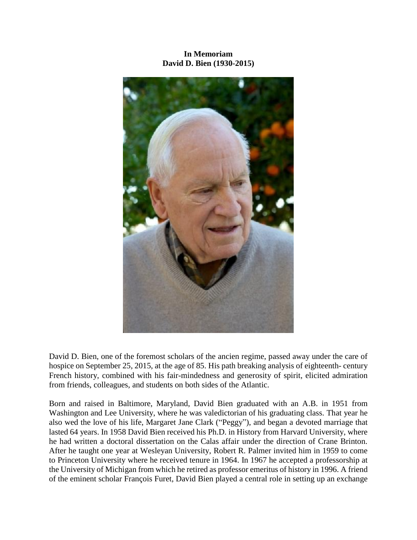## **In Memoriam David D. Bien (1930-2015)**



David D. Bien, one of the foremost scholars of the ancien regime, passed away under the care of hospice on September 25, 2015, at the age of 85. His path breaking analysis of eighteenth- century French history, combined with his fair-mindedness and generosity of spirit, elicited admiration from friends, colleagues, and students on both sides of the Atlantic.

Born and raised in Baltimore, Maryland, David Bien graduated with an A.B. in 1951 from Washington and Lee University, where he was valedictorian of his graduating class. That year he also wed the love of his life, Margaret Jane Clark ("Peggy"), and began a devoted marriage that lasted 64 years. In 1958 David Bien received his Ph.D. in History from Harvard University, where he had written a doctoral dissertation on the Calas affair under the direction of Crane Brinton. After he taught one year at Wesleyan University, Robert R. Palmer invited him in 1959 to come to Princeton University where he received tenure in 1964. In 1967 he accepted a professorship at the University of Michigan from which he retired as professor emeritus of history in 1996. A friend of the eminent scholar François Furet, David Bien played a central role in setting up an exchange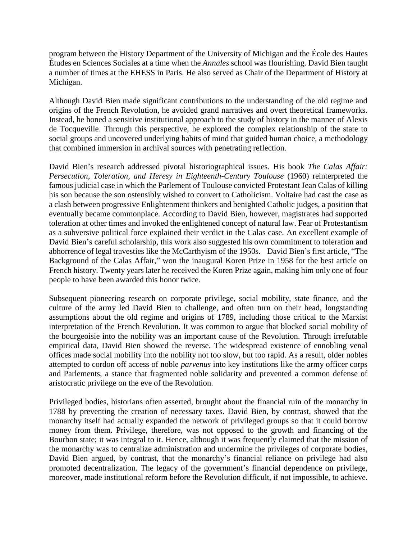program between the History Department of the University of Michigan and the École des Hautes Études en Sciences Sociales at a time when the *Annales* school was flourishing. David Bien taught a number of times at the EHESS in Paris. He also served as Chair of the Department of History at Michigan.

Although David Bien made significant contributions to the understanding of the old regime and origins of the French Revolution, he avoided grand narratives and overt theoretical frameworks. Instead, he honed a sensitive institutional approach to the study of history in the manner of Alexis de Tocqueville. Through this perspective, he explored the complex relationship of the state to social groups and uncovered underlying habits of mind that guided human choice, a methodology that combined immersion in archival sources with penetrating reflection.

David Bien's research addressed pivotal historiographical issues. His book *The Calas Affair: Persecution, Toleration, and Heresy in Eighteenth-Century Toulouse* (1960) reinterpreted the famous judicial case in which the Parlement of Toulouse convicted Protestant Jean Calas of killing his son because the son ostensibly wished to convert to Catholicism. Voltaire had cast the case as a clash between progressive Enlightenment thinkers and benighted Catholic judges, a position that eventually became commonplace. According to David Bien, however, magistrates had supported toleration at other times and invoked the enlightened concept of natural law. Fear of Protestantism as a subversive political force explained their verdict in the Calas case. An excellent example of David Bien's careful scholarship, this work also suggested his own commitment to toleration and abhorrence of legal travesties like the McCarthyism of the 1950s. David Bien's first article, "The Background of the Calas Affair," won the inaugural Koren Prize in 1958 for the best article on French history. Twenty years later he received the Koren Prize again, making him only one of four people to have been awarded this honor twice.

Subsequent pioneering research on corporate privilege, social mobility, state finance, and the culture of the army led David Bien to challenge, and often turn on their head, longstanding assumptions about the old regime and origins of 1789, including those critical to the Marxist interpretation of the French Revolution. It was common to argue that blocked social mobility of the bourgeoisie into the nobility was an important cause of the Revolution. Through irrefutable empirical data, David Bien showed the reverse. The widespread existence of ennobling venal offices made social mobility into the nobility not too slow, but too rapid. As a result, older nobles attempted to cordon off access of noble *parvenus* into key institutions like the army officer corps and Parlements, a stance that fragmented noble solidarity and prevented a common defense of aristocratic privilege on the eve of the Revolution.

Privileged bodies, historians often asserted, brought about the financial ruin of the monarchy in 1788 by preventing the creation of necessary taxes. David Bien, by contrast, showed that the monarchy itself had actually expanded the network of privileged groups so that it could borrow money from them. Privilege, therefore, was not opposed to the growth and financing of the Bourbon state; it was integral to it. Hence, although it was frequently claimed that the mission of the monarchy was to centralize administration and undermine the privileges of corporate bodies, David Bien argued, by contrast, that the monarchy's financial reliance on privilege had also promoted decentralization. The legacy of the government's financial dependence on privilege, moreover, made institutional reform before the Revolution difficult, if not impossible, to achieve.